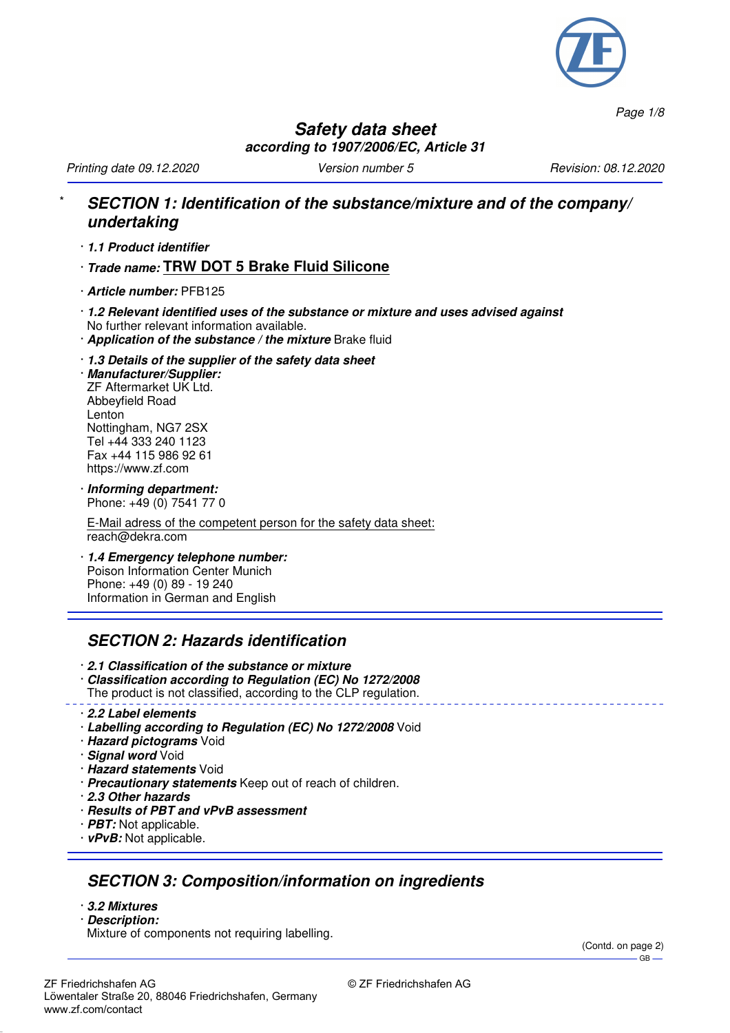

*Page 1/8*

### **Safety data sheet according to 1907/2006/EC, Article 31**

*Printing date 09.12.2020 Version number 5 Revision: 08.12.2020*

## \* **SECTION 1: Identification of the substance/mixture and of the company/ undertaking**

- · **1.1 Product identifier**
- · **Trade name: TRW DOT 5 Brake Fluid Silicone**
- · **Article number:** PFB125
- · **1.2 Relevant identified uses of the substance or mixture and uses advised against** No further relevant information available.
- · **Application of the substance / the mixture** Brake fluid
- · **1.3 Details of the supplier of the safety data sheet**

· **Manufacturer/Supplier:** ZF Aftermarket UK Ltd. Abbeyfield Road Lenton Nottingham, NG7 2SX Tel +44 333 240 1123 Fax +44 115 986 92 61 https://www.zf.com

· **Informing department:** Phone: +49 (0) 7541 77 0

E-Mail adress of the competent person for the safety data sheet: reach@dekra.com

· **1.4 Emergency telephone number:** Poison Information Center Munich Phone: +49 (0) 89 - 19 240 Information in German and English

# **SECTION 2: Hazards identification**

· **2.1 Classification of the substance or mixture**

- · **Classification according to Regulation (EC) No 1272/2008** The product is not classified, according to the CLP regulation.
- · **2.2 Label elements**
- · **Labelling according to Regulation (EC) No 1272/2008** Void
- · **Hazard pictograms** Void
- · **Signal word** Void
- · **Hazard statements** Void
- · **Precautionary statements** Keep out of reach of children.
- · **2.3 Other hazards**
- · **Results of PBT and vPvB assessment**
- · **PBT:** Not applicable.
- · **vPvB:** Not applicable.

# **SECTION 3: Composition/information on ingredients**

- · **3.2 Mixtures**
- · **Description:**

Mixture of components not requiring labelling.

(Contd. on page 2) – GB –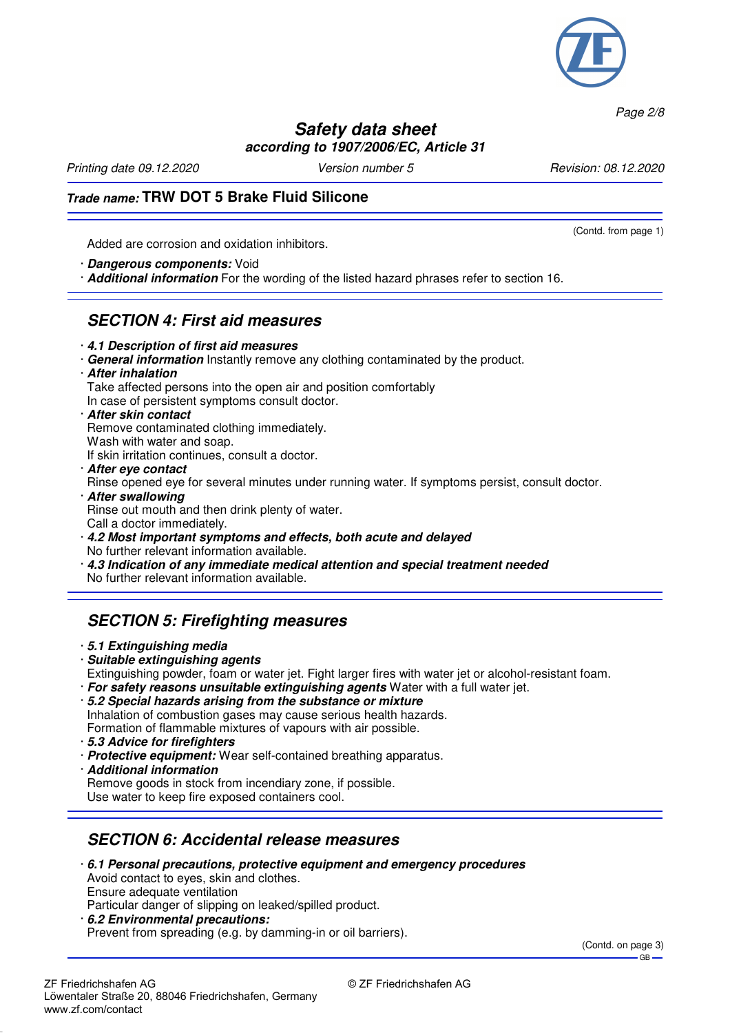

**Safety data sheet according to 1907/2006/EC, Article 31**

*Printing date 09.12.2020 Version number 5 Revision: 08.12.2020*

(Contd. from page 1)

*Page 2/8*

# **Trade name: TRW DOT 5 Brake Fluid Silicone**

Added are corrosion and oxidation inhibitors.

· **Dangerous components:** Void

· **Additional information** For the wording of the listed hazard phrases refer to section 16.

## **SECTION 4: First aid measures**

· **4.1 Description of first aid measures**

· **General information** Instantly remove any clothing contaminated by the product.

· **After inhalation**

Take affected persons into the open air and position comfortably

In case of persistent symptoms consult doctor. · **After skin contact**

Remove contaminated clothing immediately.

Wash with water and soap.

If skin irritation continues, consult a doctor.

· **After eye contact** Rinse opened eye for several minutes under running water. If symptoms persist, consult doctor. · **After swallowing**

Rinse out mouth and then drink plenty of water. Call a doctor immediately.

- · **4.2 Most important symptoms and effects, both acute and delayed** No further relevant information available.
- · **4.3 Indication of any immediate medical attention and special treatment needed** No further relevant information available.

# **SECTION 5: Firefighting measures**

- · **5.1 Extinguishing media**
- · **Suitable extinguishing agents**
- Extinguishing powder, foam or water jet. Fight larger fires with water jet or alcohol-resistant foam.
- · **For safety reasons unsuitable extinguishing agents** Water with a full water jet.
- · **5.2 Special hazards arising from the substance or mixture** Inhalation of combustion gases may cause serious health hazards. Formation of flammable mixtures of vapours with air possible.
- · **5.3 Advice for firefighters**
- · **Protective equipment:** Wear self-contained breathing apparatus.
- · **Additional information**
- Remove goods in stock from incendiary zone, if possible.

Use water to keep fire exposed containers cool.

# **SECTION 6: Accidental release measures**

- · **6.1 Personal precautions, protective equipment and emergency procedures** Avoid contact to eyes, skin and clothes. Ensure adequate ventilation Particular danger of slipping on leaked/spilled product.
- · **6.2 Environmental precautions:** Prevent from spreading (e.g. by damming-in or oil barriers).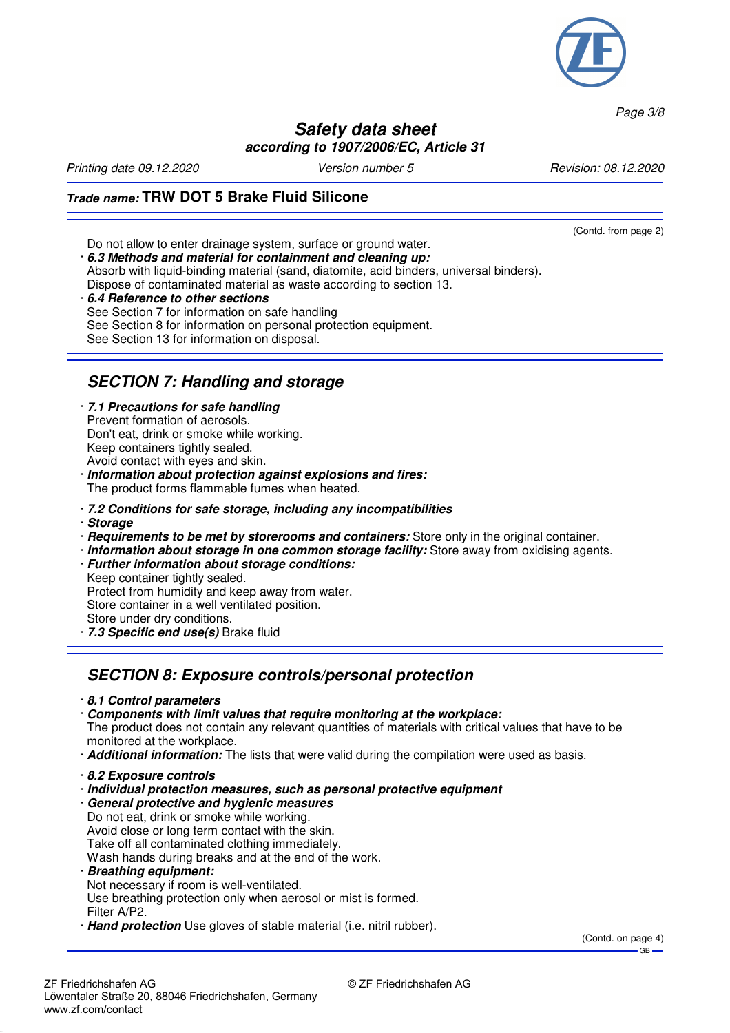

*Page 3/8*

### **Safety data sheet according to 1907/2006/EC, Article 31**

*Printing date 09.12.2020 Version number 5 Revision: 08.12.2020*

(Contd. from page 2)

## **Trade name: TRW DOT 5 Brake Fluid Silicone**

Do not allow to enter drainage system, surface or ground water. · **6.3 Methods and material for containment and cleaning up:** Absorb with liquid-binding material (sand, diatomite, acid binders, universal binders). Dispose of contaminated material as waste according to section 13. · **6.4 Reference to other sections** See Section 7 for information on safe handling

See Section 8 for information on personal protection equipment. See Section 13 for information on disposal.

# **SECTION 7: Handling and storage**

· **7.1 Precautions for safe handling** Prevent formation of aerosols. Don't eat, drink or smoke while working. Keep containers tightly sealed. Avoid contact with eyes and skin.

· **Information about protection against explosions and fires:** The product forms flammable fumes when heated.

- · **7.2 Conditions for safe storage, including any incompatibilities**
- · **Storage**
- · **Requirements to be met by storerooms and containers:** Store only in the original container.
- · **Information about storage in one common storage facility:** Store away from oxidising agents.
- · **Further information about storage conditions:** Keep container tightly sealed. Protect from humidity and keep away from water. Store container in a well ventilated position. Store under dry conditions.
- · **7.3 Specific end use(s)** Brake fluid

## **SECTION 8: Exposure controls/personal protection**

- · **8.1 Control parameters**
- · **Components with limit values that require monitoring at the workplace:**

The product does not contain any relevant quantities of materials with critical values that have to be monitored at the workplace.

- · **Additional information:** The lists that were valid during the compilation were used as basis.
- · **8.2 Exposure controls**
- · **Individual protection measures, such as personal protective equipment**
- · **General protective and hygienic measures** Do not eat, drink or smoke while working. Avoid close or long term contact with the skin. Take off all contaminated clothing immediately. Wash hands during breaks and at the end of the work.
- · **Breathing equipment:** Not necessary if room is well-ventilated. Use breathing protection only when aerosol or mist is formed. Filter A/P2.
- · **Hand protection** Use gloves of stable material (i.e. nitril rubber).

(Contd. on page 4) GB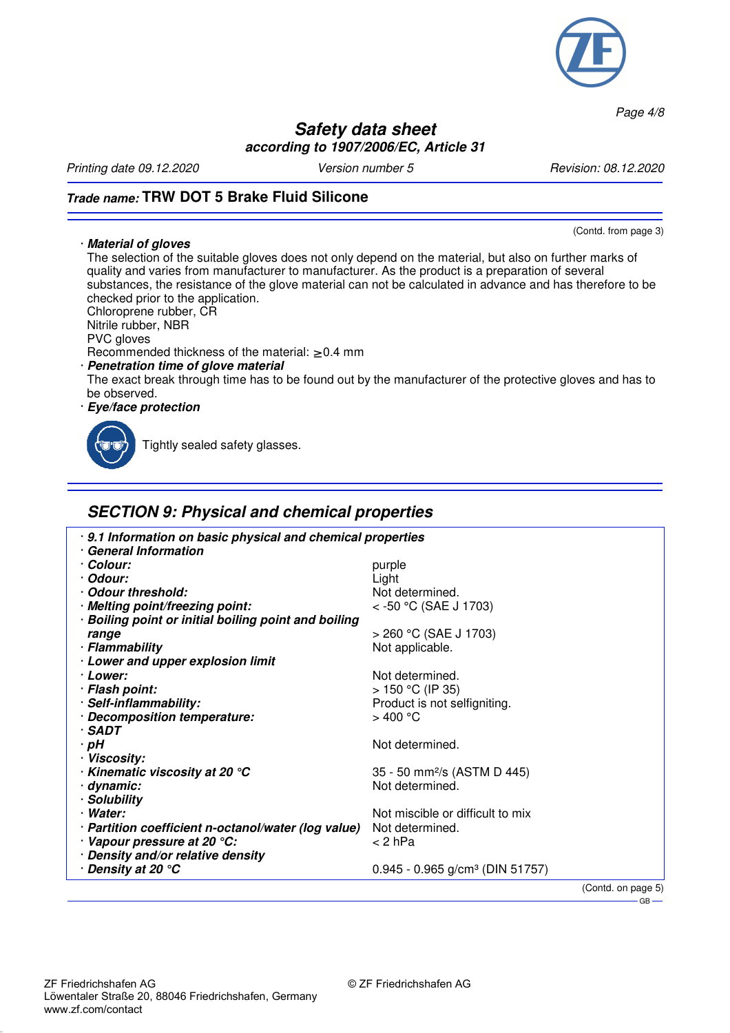

**Safety data sheet according to 1907/2006/EC, Article 31**

*Printing date 09.12.2020 Version number 5 Revision: 08.12.2020*

(Contd. from page 3)

*Page 4/8*

## **Trade name: TRW DOT 5 Brake Fluid Silicone**

#### · **Material of gloves**

The selection of the suitable gloves does not only depend on the material, but also on further marks of quality and varies from manufacturer to manufacturer. As the product is a preparation of several substances, the resistance of the glove material can not be calculated in advance and has therefore to be checked prior to the application.

Chloroprene rubber, CR Nitrile rubber, NBR

PVC gloves

Recommended thickness of the material:  $\geq 0.4$  mm

· **Penetration time of glove material**

The exact break through time has to be found out by the manufacturer of the protective gloves and has to be observed.

#### · **Eye/face protection**



Tightly sealed safety glasses.

## **SECTION 9: Physical and chemical properties**

| . 9.1 Information on basic physical and chemical properties |                                             |                    |
|-------------------------------------------------------------|---------------------------------------------|--------------------|
| · General Information                                       |                                             |                    |
| · Colour:                                                   | purple                                      |                    |
| · Odour:                                                    | Light                                       |                    |
| · Odour threshold:                                          | Not determined.                             |                    |
| · Melting point/freezing point:                             | $<$ -50 °C (SAE J 1703)                     |                    |
| · Boiling point or initial boiling point and boiling        |                                             |                    |
| range                                                       | $>$ 260 °C (SAE J 1703)                     |                    |
| · Flammability                                              | Not applicable.                             |                    |
| · Lower and upper explosion limit                           |                                             |                    |
| · Lower:                                                    | Not determined.                             |                    |
| · Flash point:                                              | $> 150 °C$ (IP 35)                          |                    |
| · Self-inflammability:                                      | Product is not selfigniting.                |                    |
| · Decomposition temperature:                                | $>$ 400 °C                                  |                    |
| $·$ SADT                                                    |                                             |                    |
| $\cdot$ pH                                                  | Not determined.                             |                    |
| · Viscosity:                                                |                                             |                    |
| $\cdot$ Kinematic viscosity at 20 $^{\circ}$ C              | 35 - 50 mm <sup>2</sup> /s (ASTM D 445)     |                    |
| · dynamic:                                                  | Not determined.                             |                    |
| · Solubility                                                |                                             |                    |
| · Water:                                                    | Not miscible or difficult to mix            |                    |
| · Partition coefficient n-octanol/water (log value)         | Not determined.                             |                    |
| · Vapour pressure at 20 °C:                                 | $<$ 2 hPa                                   |                    |
| · Density and/or relative density                           |                                             |                    |
| · Density at 20 °C                                          | 0.945 - 0.965 g/cm <sup>3</sup> (DIN 51757) |                    |
|                                                             |                                             | (Contd. on page 5) |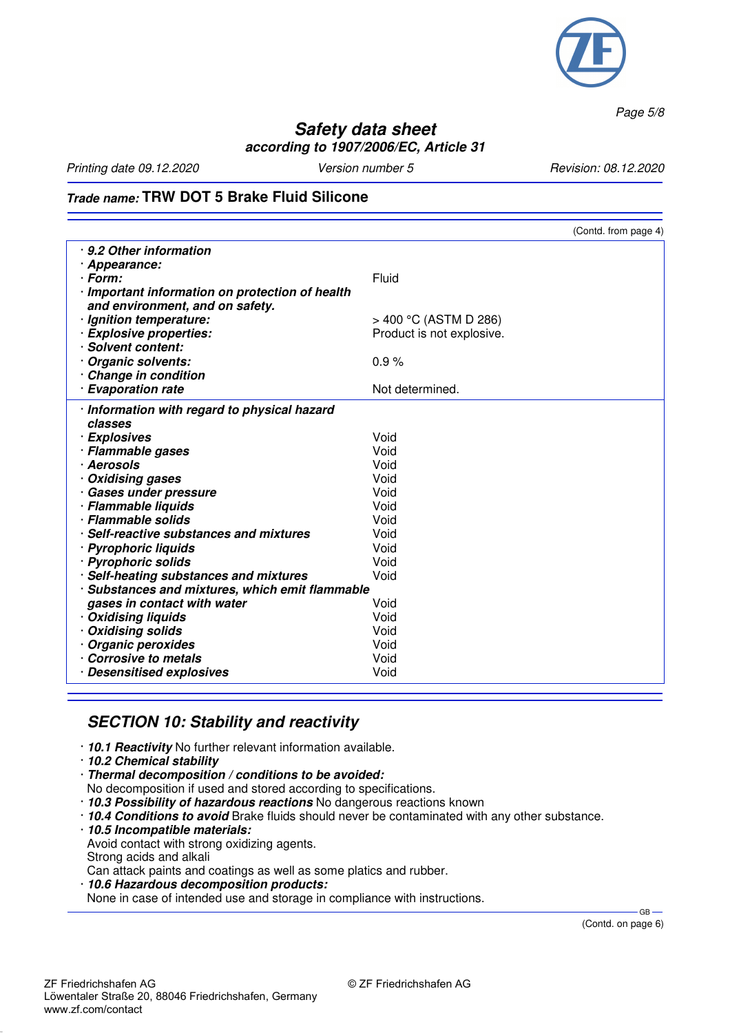

*Page 5/8*

### **Safety data sheet according to 1907/2006/EC, Article 31**

*Printing date 09.12.2020 Version number 5 Revision: 08.12.2020*

#### **Trade name: TRW DOT 5 Brake Fluid Silicone**

|                                                 | (Contd. from page 4)      |
|-------------------------------------------------|---------------------------|
| 9.2 Other information                           |                           |
| · Appearance:                                   |                           |
| · Form:                                         | Fluid                     |
| · Important information on protection of health |                           |
| and environment, and on safety.                 |                           |
| · Ignition temperature:                         | > 400 °C (ASTM D 286)     |
| · Explosive properties:                         | Product is not explosive. |
| · Solvent content:                              |                           |
| · Organic solvents:                             | 0.9%                      |
| · Change in condition                           |                           |
| · Evaporation rate                              | Not determined.           |
| · Information with regard to physical hazard    |                           |
| classes                                         |                           |
| · Explosives                                    | Void                      |
| · Flammable gases                               | Void                      |
| · Aerosols                                      | Void                      |
| · Oxidising gases                               | Void                      |
| · Gases under pressure                          | Void                      |
| · Flammable liquids                             | Void                      |
| · Flammable solids                              | Void                      |
| · Self-reactive substances and mixtures         | Void                      |
| · Pyrophoric liquids                            | Void                      |
| · Pyrophoric solids                             | Void                      |
| · Self-heating substances and mixtures          | Void                      |
| · Substances and mixtures, which emit flammable |                           |
| gases in contact with water                     | Void                      |
| · Oxidising liquids                             | Void                      |
| · Oxidising solids                              | Void                      |
| · Organic peroxides                             | Void                      |
| Corrosive to metals                             | Void                      |
| · Desensitised explosives                       | Void                      |

#### **SECTION 10: Stability and reactivity**

- · **10.1 Reactivity** No further relevant information available.
- · **10.2 Chemical stability**
- · **Thermal decomposition / conditions to be avoided:**
- No decomposition if used and stored according to specifications.
- · **10.3 Possibility of hazardous reactions** No dangerous reactions known
- · **10.4 Conditions to avoid** Brake fluids should never be contaminated with any other substance.
- · **10.5 Incompatible materials:**
- Avoid contact with strong oxidizing agents. Strong acids and alkali

Can attack paints and coatings as well as some platics and rubber.

- · **10.6 Hazardous decomposition products:**
- None in case of intended use and storage in compliance with instructions.

 $GR -$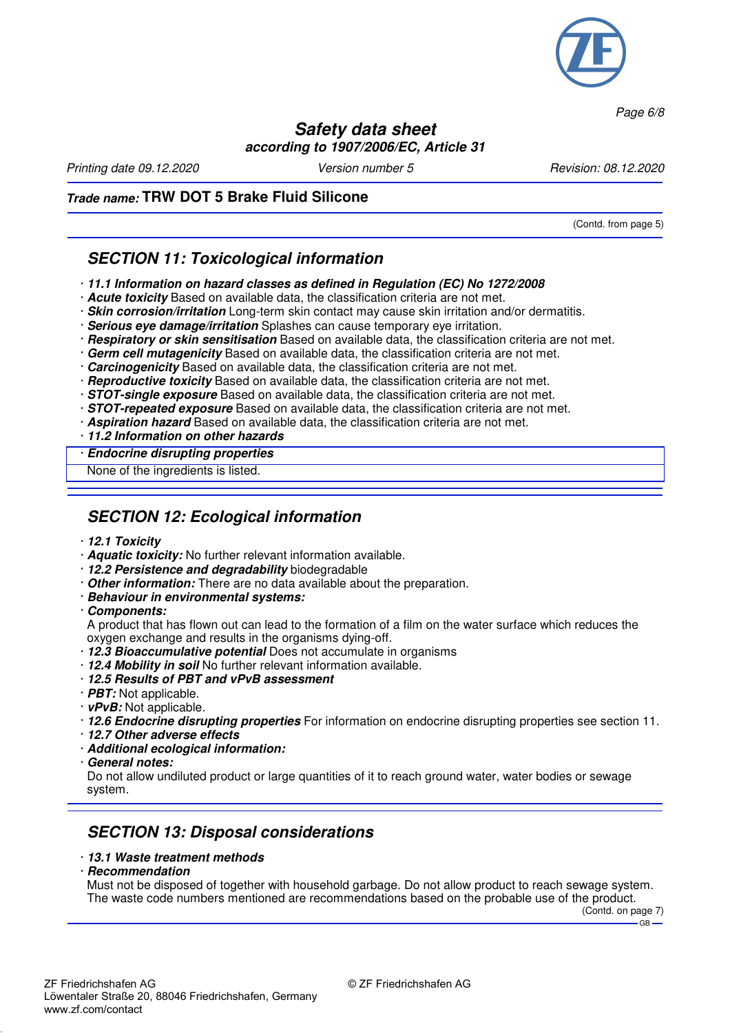

*Page 6/8*

### **Safety data sheet according to 1907/2006/EC, Article 31**

*Printing date 09.12.2020 Version number 5 Revision: 08.12.2020*

(Contd. from page 5)

## **Trade name: TRW DOT 5 Brake Fluid Silicone**

## **SECTION 11: Toxicological information**

- · **11.1 Information on hazard classes as defined in Regulation (EC) No 1272/2008**
- · **Acute toxicity** Based on available data, the classification criteria are not met.
- · **Skin corrosion/irritation** Long-term skin contact may cause skin irritation and/or dermatitis.
- · **Serious eye damage/irritation** Splashes can cause temporary eye irritation.
- · **Respiratory or skin sensitisation** Based on available data, the classification criteria are not met.
- · **Germ cell mutagenicity** Based on available data, the classification criteria are not met.
- · **Carcinogenicity** Based on available data, the classification criteria are not met.
- · **Reproductive toxicity** Based on available data, the classification criteria are not met.
- · **STOT-single exposure** Based on available data, the classification criteria are not met.
- · **STOT-repeated exposure** Based on available data, the classification criteria are not met.
- · **Aspiration hazard** Based on available data, the classification criteria are not met.
- · **11.2 Information on other hazards**

#### · **Endocrine disrupting properties**

None of the ingredients is listed.

# **SECTION 12: Ecological information**

- · **12.1 Toxicity**
- · **Aquatic toxicity:** No further relevant information available.
- · **12.2 Persistence and degradability** biodegradable
- · **Other information:** There are no data available about the preparation.
- · **Behaviour in environmental systems:**
- · **Components:**

A product that has flown out can lead to the formation of a film on the water surface which reduces the oxygen exchange and results in the organisms dying-off.

- · **12.3 Bioaccumulative potential** Does not accumulate in organisms
- · **12.4 Mobility in soil** No further relevant information available.
- · **12.5 Results of PBT and vPvB assessment**
- · **PBT:** Not applicable.
- · **vPvB:** Not applicable.
- · **12.6 Endocrine disrupting properties** For information on endocrine disrupting properties see section 11.
- · **12.7 Other adverse effects**
- · **Additional ecological information:**
- · **General notes:**

Do not allow undiluted product or large quantities of it to reach ground water, water bodies or sewage system.

## **SECTION 13: Disposal considerations**

- · **13.1 Waste treatment methods**
- · **Recommendation**

Must not be disposed of together with household garbage. Do not allow product to reach sewage system. The waste code numbers mentioned are recommendations based on the probable use of the product.

(Contd. on page 7)  $-GR$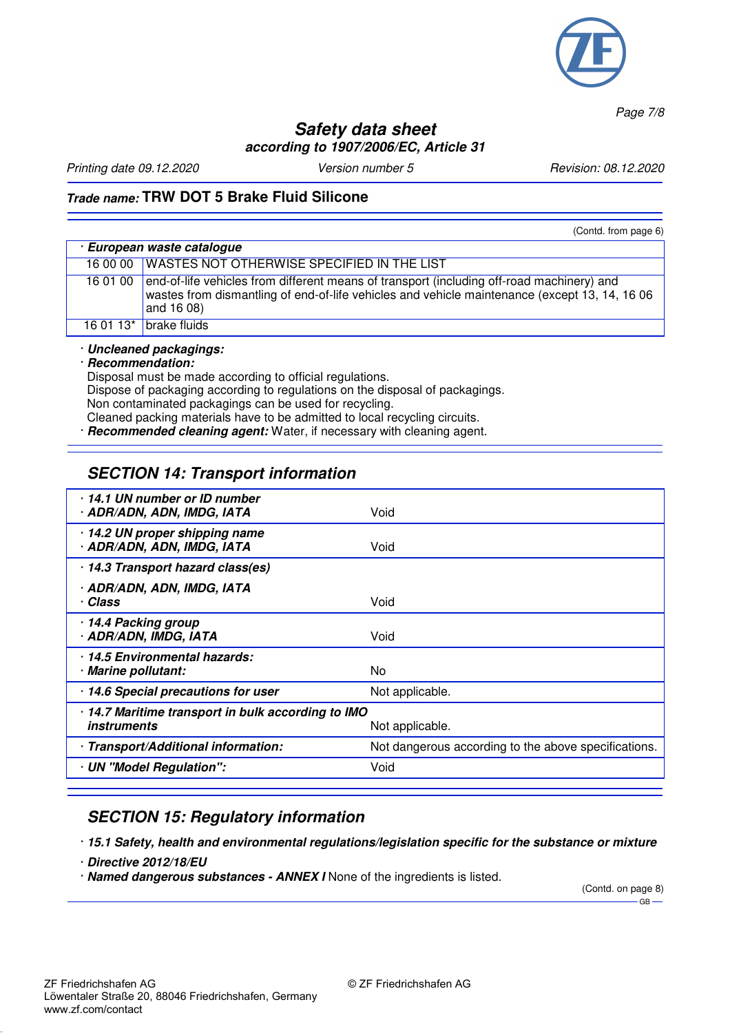

*Page 7/8*

## **Safety data sheet according to 1907/2006/EC, Article 31**

*Printing date 09.12.2020 Version number 5 Revision: 08.12.2020*

(Contd. from page 6)

### **Trade name: TRW DOT 5 Brake Fluid Silicone**

| · European waste catalogue                                                                                                                                                                                        |
|-------------------------------------------------------------------------------------------------------------------------------------------------------------------------------------------------------------------|
| 16 00 00 WASTES NOT OTHERWISE SPECIFIED IN THE LIST                                                                                                                                                               |
| 16 01 00 end-of-life vehicles from different means of transport (including off-road machinery) and<br>wastes from dismantling of end-of-life vehicles and vehicle maintenance (except 13, 14, 16 06<br>and 16 08) |
| 16 01 13 $*$ brake fluids                                                                                                                                                                                         |

· **Uncleaned packagings:**

· **Recommendation:**

Disposal must be made according to official regulations.

Dispose of packaging according to regulations on the disposal of packagings.

Non contaminated packagings can be used for recycling.

Cleaned packing materials have to be admitted to local recycling circuits.

**Recommended cleaning agent:** Water, if necessary with cleaning agent.

# **SECTION 14: Transport information**

| Void                                                                  |  |
|-----------------------------------------------------------------------|--|
| Void                                                                  |  |
|                                                                       |  |
| Void                                                                  |  |
| Void                                                                  |  |
| No.                                                                   |  |
| Not applicable.                                                       |  |
| · 14.7 Maritime transport in bulk according to IMO<br>Not applicable. |  |
| Not dangerous according to the above specifications.                  |  |
| Void                                                                  |  |
|                                                                       |  |

## **SECTION 15: Regulatory information**

· **15.1 Safety, health and environmental regulations/legislation specific for the substance or mixture**

- · **Directive 2012/18/EU**
- · **Named dangerous substances ANNEX I** None of the ingredients is listed.

(Contd. on page 8)